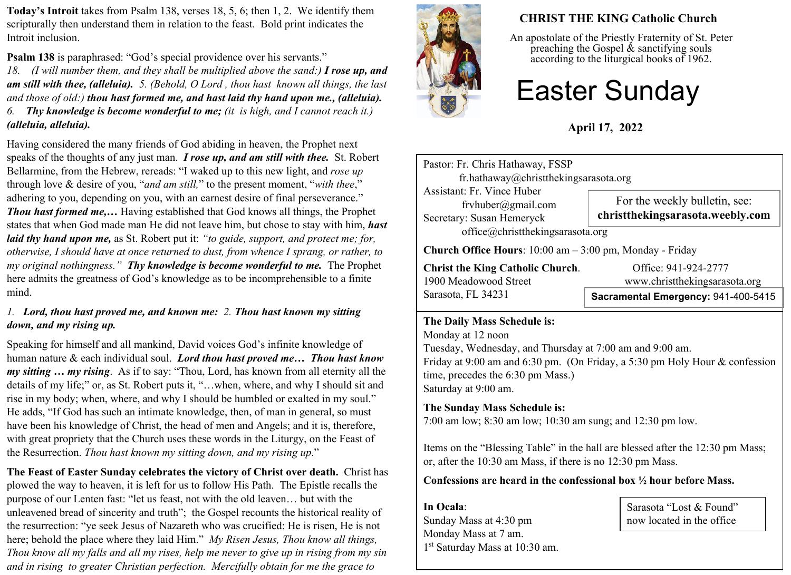**Today's Introit** takes from Psalm 138, verses 18, 5, 6; then 1, 2. We identify them scripturally then understand them in relation to the feast. Bold print indicates the Introit inclusion.

**Psalm 138** is paraphrased: "God's special providence over his servants."

*18. (I will number them, and they shall be multiplied above the sand:) I rose up, and am still with thee, (alleluia). 5. (Behold, O Lord , thou hast known all things, the last and those of old:) thou hast formed me, and hast laid thy hand upon me., (alleluia). 6. Thy knowledge is become wonderful to me; (it is high, and I cannot reach it.) (alleluia, alleluia).*

Having considered the many friends of God abiding in heaven, the Prophet next speaks of the thoughts of any just man. *I rose up, and am still with thee.* St. Robert Bellarmine, from the Hebrew, rereads: "I waked up to this new light, and *rose up* through love & desire of you, "*and am still,*" to the present moment, "*with thee*," adhering to you, depending on you, with an earnest desire of final perseverance." *Thou hast formed me,…* Having established that God knows all things, the Prophet states that when God made man He did not leave him, but chose to stay with him, *hast laid thy hand upon me,* as St. Robert put it: *"to guide, support, and protect me; for, otherwise, I should have at once returned to dust, from whence I sprang, or rather, to my original nothingness." Thy knowledge is become wonderful to me.* The Prophet here admits the greatness of God's knowledge as to be incomprehensible to a finite mind.

#### *1. Lord, thou hast proved me, and known me: 2. Thou hast known my sitting down, and my rising up.*

Speaking for himself and all mankind, David voices God's infinite knowledge of human nature & each individual soul. *Lord thou hast proved me… Thou hast know my sitting … my rising*. As if to say: "Thou, Lord, has known from all eternity all the details of my life;" or, as St. Robert puts it, "…when, where, and why I should sit and rise in my body; when, where, and why I should be humbled or exalted in my soul." He adds, "If God has such an intimate knowledge, then, of man in general, so must have been his knowledge of Christ, the head of men and Angels; and it is, therefore, with great propriety that the Church uses these words in the Liturgy, on the Feast of the Resurrection. *Thou hast known my sitting down, and my rising up*."

**The Feast of Easter Sunday celebrates the victory of Christ over death.** Christ has plowed the way to heaven, it is left for us to follow His Path.The Epistle recalls the purpose of our Lenten fast: "let us feast, not with the old leaven… but with the unleavened bread of sincerity and truth"; the Gospel recounts the historical reality of the resurrection: "ye seek Jesus of Nazareth who was crucified: He is risen, He is not here; behold the place where they laid Him." *My Risen Jesus, Thou know all things, Thou know all my falls and all my rises, help me never to give up in rising from my sin and in rising to greater Christian perfection. Mercifully obtain for me the grace to* 



# **CHRIST THE KING Catholic Church**

An apostolate of the Priestly Fraternity of St. Peter preaching the Gospel  $\&$  sanctifying souls according to the liturgical books of 1962.

# Easter Sunday

# **April 17, 2022**

| Pastor: Fr. Chris Hathaway, FSSP<br>fr.hathaway@christthekingsarasota.org                               |                                                                   |  |  |
|---------------------------------------------------------------------------------------------------------|-------------------------------------------------------------------|--|--|
| <b>Assistant: Fr. Vince Huber</b><br>fryhuber@gmail.com<br>Secretary: Susan Hemeryck                    | For the weekly bulletin, see:<br>christthekingsarasota.weebly.com |  |  |
| office@christthekingsarasota.org<br><b>Church Office Hours</b> : $10:00$ am $-3:00$ pm, Monday - Friday |                                                                   |  |  |
| <b>Christ the King Catholic Church.</b><br>1900 Meadowood Street                                        | Office: 941-924-2777<br>www.christthekingsarasota.org             |  |  |
| Sarasota, FL 34231                                                                                      | Sacramental Emergency: 941-400-5415                               |  |  |

#### **The Daily Mass Schedule is:**

Monday at 12 noon Tuesday, Wednesday, and Thursday at 7:00 am and 9:00 am. Friday at 9:00 am and 6:30 pm. (On Friday, a 5:30 pm Holy Hour & confession time, precedes the 6:30 pm Mass.) Saturday at 9:00 am.

### **The Sunday Mass Schedule is:**

7:00 am low; 8:30 am low; 10:30 am sung; and 12:30 pm low.

Items on the "Blessing Table" in the hall are blessed after the 12:30 pm Mass; or, after the 10:30 am Mass, if there is no 12:30 pm Mass.

#### **Confessions are heard in the confessional box ½ hour before Mass.**

**In Ocala**: Sunday Mass at 4:30 pm Monday Mass at 7 am. 1 st Saturday Mass at 10:30 am.

Sarasota "Lost & Found" now located in the office